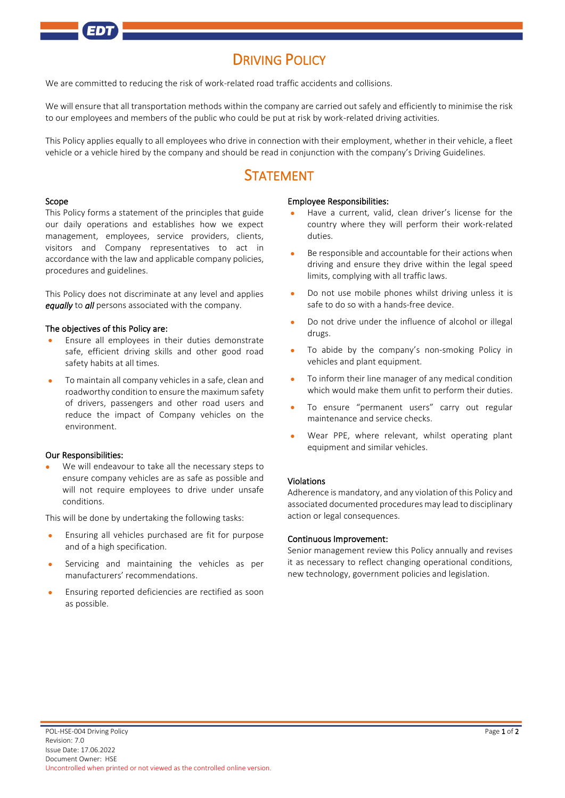# **DRIVING POLICY**

We are committed to reducing the risk of work-related road traffic accidents and collisions.

We will ensure that all transportation methods within the company are carried out safely and efficiently to minimise the risk to our employees and members of the public who could be put at risk by work-related driving activities.

This Policy applies equally to all employees who drive in connection with their employment, whether in their vehicle, a fleet vehicle or a vehicle hired by the company and should be read in conjunction with the company's Driving Guidelines.

## STATEMENT

#### Scope

This Policy forms a statement of the principles that guide our daily operations and establishes how we expect management, employees, service providers, clients, visitors and Company representatives to act in accordance with the law and applicable company policies, procedures and guidelines.

This Policy does not discriminate at any level and applies *equally* to *all* persons associated with the company.

#### The objectives of this Policy are:

- Ensure all employees in their duties demonstrate safe, efficient driving skills and other good road safety habits at all times.
- To maintain all company vehicles in a safe, clean and roadworthy condition to ensure the maximum safety of drivers, passengers and other road users and reduce the impact of Company vehicles on the environment.

### Our Responsibilities:

We will endeavour to take all the necessary steps to ensure company vehicles are as safe as possible and will not require employees to drive under unsafe conditions.

This will be done by undertaking the following tasks:

- Ensuring all vehicles purchased are fit for purpose and of a high specification.
- Servicing and maintaining the vehicles as per manufacturers' recommendations.
- Ensuring reported deficiencies are rectified as soon as possible.

#### Employee Responsibilities:

- Have a current, valid, clean driver's license for the country where they will perform their work-related duties.
- Be responsible and accountable for their actions when driving and ensure they drive within the legal speed limits, complying with all traffic laws.
- Do not use mobile phones whilst driving unless it is safe to do so with a hands-free device.
- Do not drive under the influence of alcohol or illegal drugs.
- To abide by the company's non-smoking Policy in vehicles and plant equipment.
- To inform their line manager of any medical condition which would make them unfit to perform their duties.
- To ensure "permanent users" carry out regular maintenance and service checks.
- Wear PPE, where relevant, whilst operating plant equipment and similar vehicles.

### Violations

Adherence is mandatory, and any violation of this Policy and associated documented procedures may lead to disciplinary action or legal consequences.

### Continuous Improvement:

Senior management review this Policy annually and revises it as necessary to reflect changing operational conditions, new technology, government policies and legislation.